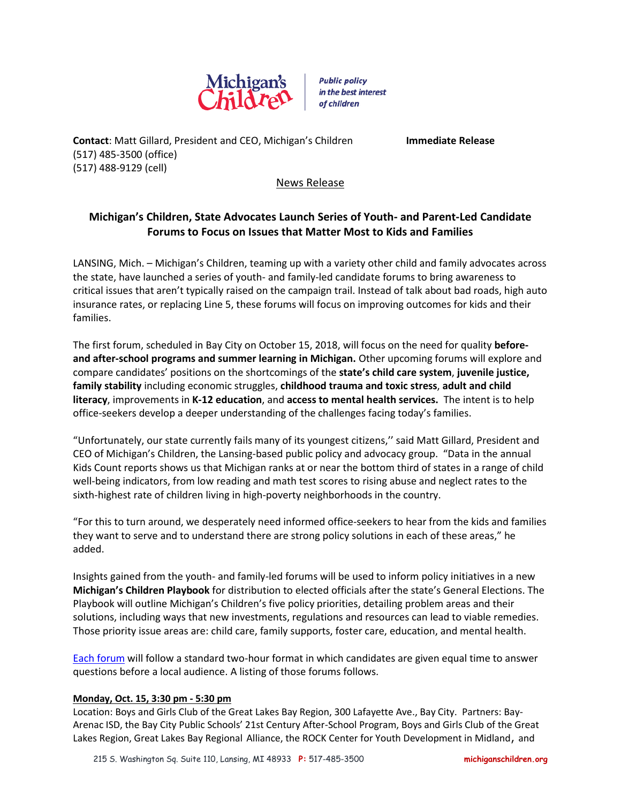

**Public policy** in the best interest of children

**Contact**: Matt Gillard, President and CEO, Michigan's Children **Immediate Release** (517) 485-3500 (office) (517) 488-9129 (cell)

News Release

# **Michigan's Children, State Advocates Launch Series of Youth- and Parent-Led Candidate Forums to Focus on Issues that Matter Most to Kids and Families**

LANSING, Mich. – Michigan's Children, teaming up with a variety other child and family advocates across the state, have launched a series of youth- and family-led candidate forums to bring awareness to critical issues that aren't typically raised on the campaign trail. Instead of talk about bad roads, high auto insurance rates, or replacing Line 5, these forums will focus on improving outcomes for kids and their families.

The first forum, scheduled in Bay City on October 15, 2018, will focus on the need for quality **beforeand after-school programs and summer learning in Michigan.** Other upcoming forums will explore and compare candidates' positions on the shortcomings of the **state's child care system**, **juvenile justice, family stability** including economic struggles, **childhood trauma and toxic stress**, **adult and child literacy**, improvements in **K-12 education**, and **access to mental health services.** The intent is to help office-seekers develop a deeper understanding of the challenges facing today's families.

"Unfortunately, our state currently fails many of its youngest citizens,'' said Matt Gillard, President and CEO of Michigan's Children, the Lansing-based public policy and advocacy group. "Data in the annual Kids Count reports shows us that Michigan ranks at or near the bottom third of states in a range of child well-being indicators, from low reading and math test scores to rising abuse and neglect rates to the sixth-highest rate of children living in high-poverty neighborhoods in the country.

"For this to turn around, we desperately need informed office-seekers to hear from the kids and families they want to serve and to understand there are strong policy solutions in each of these areas," he added.

Insights gained from the youth- and family-led forums will be used to inform policy initiatives in a new **Michigan's Children Playbook** for distribution to elected officials after the state's General Elections. The Playbook will outline Michigan's Children's five policy priorities, detailing problem areas and their solutions, including ways that new investments, regulations and resources can lead to viable remedies. Those priority issue areas are: child care, family supports, foster care, education, and mental health.

[Each forum](https://www.michiganschildren.org/2018-candidate-forums/) will follow a standard two-hour format in which candidates are given equal time to answer questions before a local audience. A listing of those forums follows.

## **Monday, Oct. 15, 3:30 pm - 5:30 pm**

Location: Boys and Girls Club of the Great Lakes Bay Region, 300 Lafayette Ave., Bay City. Partners: Bay-Arenac ISD, the Bay City Public Schools' 21st Century After-School Program, Boys and Girls Club of the Great Lakes Region, Great Lakes Bay Regional Alliance, the ROCK Center for Youth Development in Midland, and